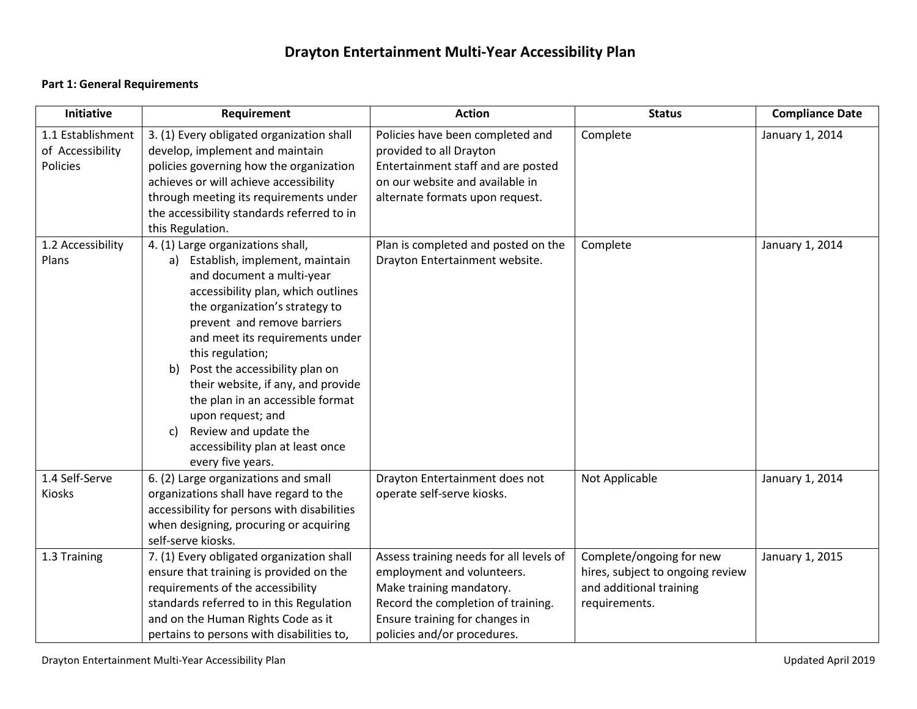# **Drayton Entertainment Multi-Year Accessibility Plan**

#### **Part 1: General Requirements**

| <b>Initiative</b>                                 | Requirement                                                                                                                                                                                                                                                                                                                                                                                                                                                                                      | <b>Action</b>                                                                                                                                                                                            | <b>Status</b>                                                                                            | <b>Compliance Date</b> |
|---------------------------------------------------|--------------------------------------------------------------------------------------------------------------------------------------------------------------------------------------------------------------------------------------------------------------------------------------------------------------------------------------------------------------------------------------------------------------------------------------------------------------------------------------------------|----------------------------------------------------------------------------------------------------------------------------------------------------------------------------------------------------------|----------------------------------------------------------------------------------------------------------|------------------------|
| 1.1 Establishment<br>of Accessibility<br>Policies | 3. (1) Every obligated organization shall<br>develop, implement and maintain<br>policies governing how the organization<br>achieves or will achieve accessibility<br>through meeting its requirements under<br>the accessibility standards referred to in<br>this Regulation.                                                                                                                                                                                                                    | Policies have been completed and<br>provided to all Drayton<br>Entertainment staff and are posted<br>on our website and available in<br>alternate formats upon request.                                  | Complete                                                                                                 | January 1, 2014        |
| 1.2 Accessibility<br>Plans                        | 4. (1) Large organizations shall,<br>a) Establish, implement, maintain<br>and document a multi-year<br>accessibility plan, which outlines<br>the organization's strategy to<br>prevent and remove barriers<br>and meet its requirements under<br>this regulation;<br>Post the accessibility plan on<br>b)<br>their website, if any, and provide<br>the plan in an accessible format<br>upon request; and<br>Review and update the<br>C)<br>accessibility plan at least once<br>every five years. | Plan is completed and posted on the<br>Drayton Entertainment website.                                                                                                                                    | Complete                                                                                                 | January 1, 2014        |
| 1.4 Self-Serve<br><b>Kiosks</b>                   | 6. (2) Large organizations and small<br>organizations shall have regard to the<br>accessibility for persons with disabilities<br>when designing, procuring or acquiring<br>self-serve kiosks.                                                                                                                                                                                                                                                                                                    | Drayton Entertainment does not<br>operate self-serve kiosks.                                                                                                                                             | Not Applicable                                                                                           | January 1, 2014        |
| 1.3 Training                                      | 7. (1) Every obligated organization shall<br>ensure that training is provided on the<br>requirements of the accessibility<br>standards referred to in this Regulation<br>and on the Human Rights Code as it<br>pertains to persons with disabilities to,                                                                                                                                                                                                                                         | Assess training needs for all levels of<br>employment and volunteers.<br>Make training mandatory.<br>Record the completion of training.<br>Ensure training for changes in<br>policies and/or procedures. | Complete/ongoing for new<br>hires, subject to ongoing review<br>and additional training<br>requirements. | January 1, 2015        |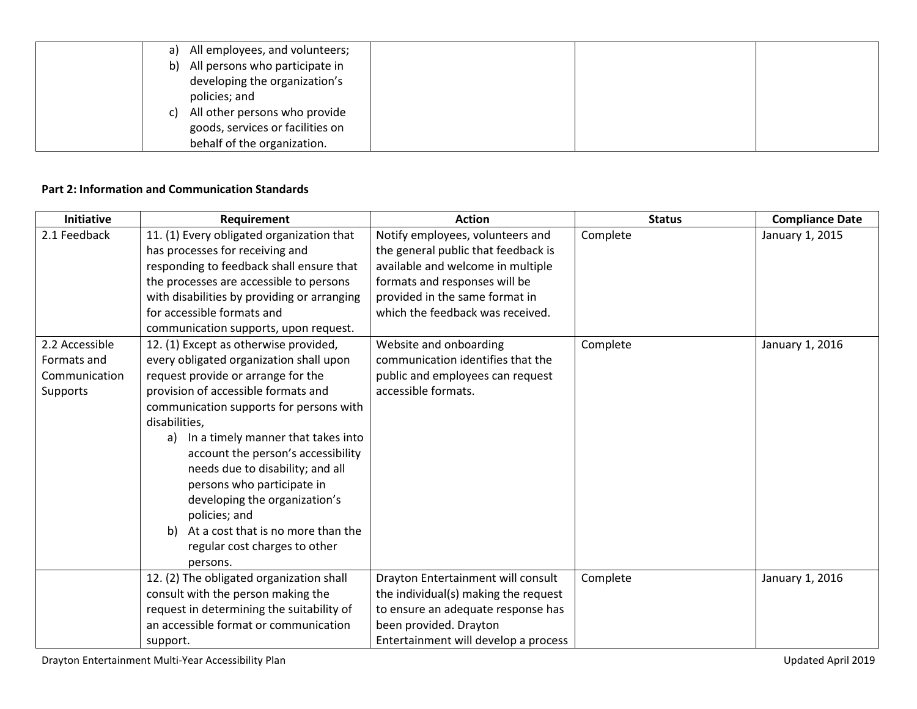| All employees, and volunteers;<br>a) |
|--------------------------------------|
| All persons who participate in<br>b) |
| developing the organization's        |
| policies; and                        |
| All other persons who provide<br>C)  |
| goods, services or facilities on     |
| behalf of the organization.          |

### **Part 2: Information and Communication Standards**

| <b>Initiative</b>                                          | Requirement                                                                                                                                                                                                                                                                                                                                                                                                                                                                                                              | <b>Action</b>                                                                                                                                                                                                       | <b>Status</b> | <b>Compliance Date</b> |
|------------------------------------------------------------|--------------------------------------------------------------------------------------------------------------------------------------------------------------------------------------------------------------------------------------------------------------------------------------------------------------------------------------------------------------------------------------------------------------------------------------------------------------------------------------------------------------------------|---------------------------------------------------------------------------------------------------------------------------------------------------------------------------------------------------------------------|---------------|------------------------|
| 2.1 Feedback                                               | 11. (1) Every obligated organization that<br>has processes for receiving and<br>responding to feedback shall ensure that<br>the processes are accessible to persons<br>with disabilities by providing or arranging<br>for accessible formats and<br>communication supports, upon request.                                                                                                                                                                                                                                | Notify employees, volunteers and<br>the general public that feedback is<br>available and welcome in multiple<br>formats and responses will be<br>provided in the same format in<br>which the feedback was received. | Complete      | January 1, 2015        |
| 2.2 Accessible<br>Formats and<br>Communication<br>Supports | 12. (1) Except as otherwise provided,<br>every obligated organization shall upon<br>request provide or arrange for the<br>provision of accessible formats and<br>communication supports for persons with<br>disabilities,<br>In a timely manner that takes into<br>a)<br>account the person's accessibility<br>needs due to disability; and all<br>persons who participate in<br>developing the organization's<br>policies; and<br>At a cost that is no more than the<br>b)<br>regular cost charges to other<br>persons. | Website and onboarding<br>communication identifies that the<br>public and employees can request<br>accessible formats.                                                                                              | Complete      | January 1, 2016        |
|                                                            | 12. (2) The obligated organization shall<br>consult with the person making the<br>request in determining the suitability of<br>an accessible format or communication<br>support.                                                                                                                                                                                                                                                                                                                                         | Drayton Entertainment will consult<br>the individual(s) making the request<br>to ensure an adequate response has<br>been provided. Drayton<br>Entertainment will develop a process                                  | Complete      | January 1, 2016        |

Drayton Entertainment Multi-Year Accessibility Plan and Multi-Year Accessibility Plan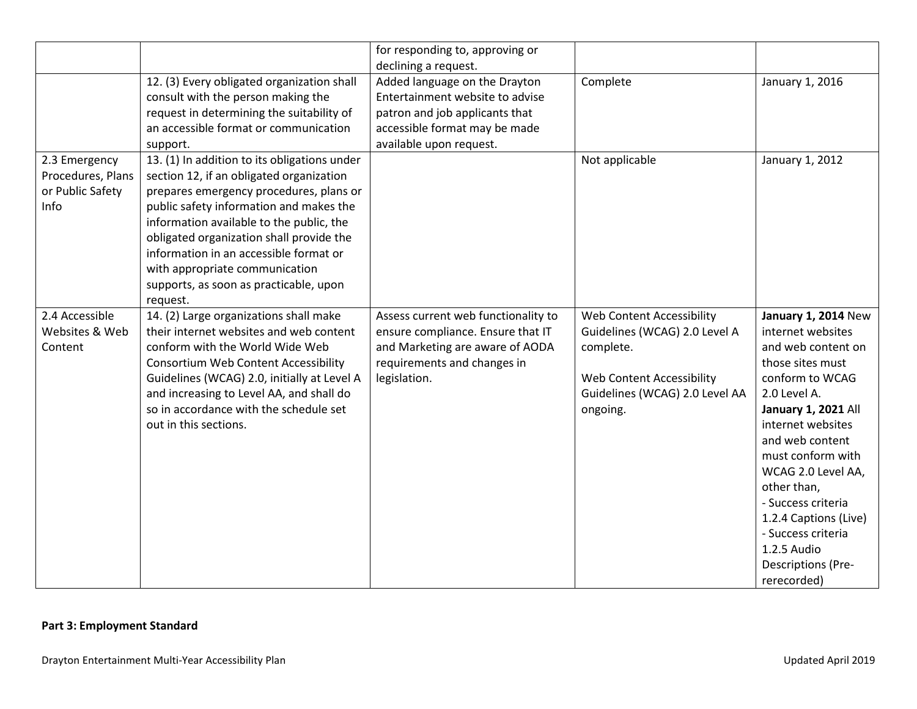|                   |                                              | for responding to, approving or     |                                |                            |
|-------------------|----------------------------------------------|-------------------------------------|--------------------------------|----------------------------|
|                   |                                              | declining a request.                | Complete                       |                            |
|                   | 12. (3) Every obligated organization shall   | Added language on the Drayton       |                                | January 1, 2016            |
|                   | consult with the person making the           | Entertainment website to advise     |                                |                            |
|                   | request in determining the suitability of    | patron and job applicants that      |                                |                            |
|                   | an accessible format or communication        | accessible format may be made       |                                |                            |
|                   | support.                                     | available upon request.             |                                |                            |
| 2.3 Emergency     | 13. (1) In addition to its obligations under |                                     | Not applicable                 | January 1, 2012            |
| Procedures, Plans | section 12, if an obligated organization     |                                     |                                |                            |
| or Public Safety  | prepares emergency procedures, plans or      |                                     |                                |                            |
| Info              | public safety information and makes the      |                                     |                                |                            |
|                   | information available to the public, the     |                                     |                                |                            |
|                   | obligated organization shall provide the     |                                     |                                |                            |
|                   | information in an accessible format or       |                                     |                                |                            |
|                   | with appropriate communication               |                                     |                                |                            |
|                   | supports, as soon as practicable, upon       |                                     |                                |                            |
|                   | request.                                     |                                     |                                |                            |
| 2.4 Accessible    | 14. (2) Large organizations shall make       | Assess current web functionality to | Web Content Accessibility      | <b>January 1, 2014 New</b> |
| Websites & Web    | their internet websites and web content      | ensure compliance. Ensure that IT   | Guidelines (WCAG) 2.0 Level A  | internet websites          |
| Content           | conform with the World Wide Web              | and Marketing are aware of AODA     | complete.                      | and web content on         |
|                   | <b>Consortium Web Content Accessibility</b>  | requirements and changes in         |                                | those sites must           |
|                   | Guidelines (WCAG) 2.0, initially at Level A  | legislation.                        | Web Content Accessibility      | conform to WCAG            |
|                   | and increasing to Level AA, and shall do     |                                     | Guidelines (WCAG) 2.0 Level AA | 2.0 Level A.               |
|                   | so in accordance with the schedule set       |                                     | ongoing.                       | January 1, 2021 All        |
|                   | out in this sections.                        |                                     |                                | internet websites          |
|                   |                                              |                                     |                                | and web content            |
|                   |                                              |                                     |                                | must conform with          |
|                   |                                              |                                     |                                | WCAG 2.0 Level AA,         |
|                   |                                              |                                     |                                | other than,                |
|                   |                                              |                                     |                                | - Success criteria         |
|                   |                                              |                                     |                                | 1.2.4 Captions (Live)      |
|                   |                                              |                                     |                                | - Success criteria         |
|                   |                                              |                                     |                                | 1.2.5 Audio                |
|                   |                                              |                                     |                                | <b>Descriptions (Pre-</b>  |
|                   |                                              |                                     |                                | rerecorded)                |

## **Part 3: Employment Standard**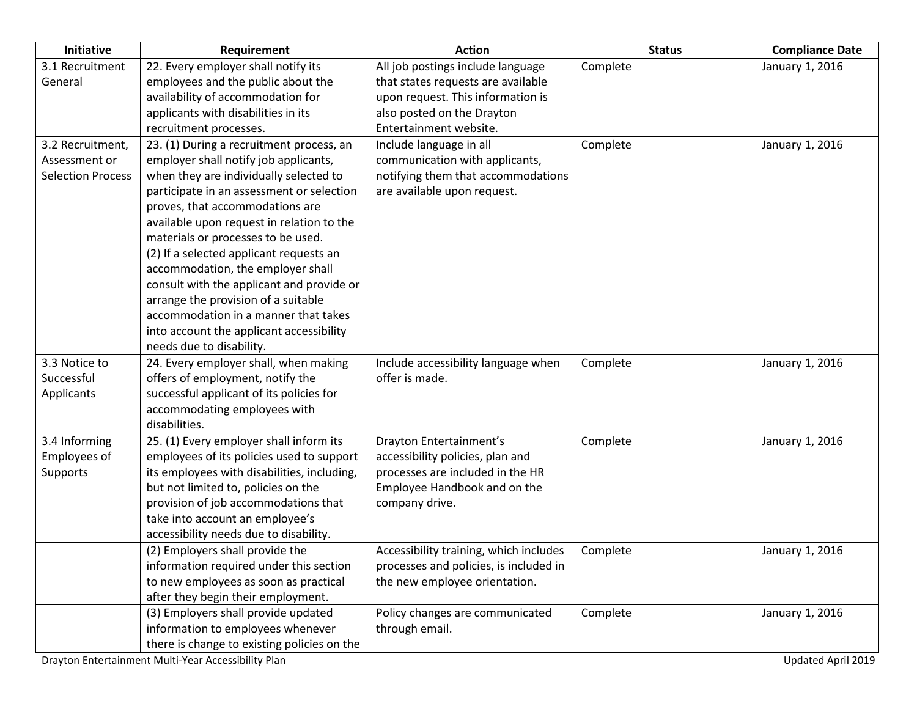| Initiative               | Requirement                                 | <b>Action</b>                          | <b>Status</b> | <b>Compliance Date</b> |
|--------------------------|---------------------------------------------|----------------------------------------|---------------|------------------------|
| 3.1 Recruitment          | 22. Every employer shall notify its         | All job postings include language      | Complete      | January 1, 2016        |
| General                  | employees and the public about the          | that states requests are available     |               |                        |
|                          | availability of accommodation for           | upon request. This information is      |               |                        |
|                          | applicants with disabilities in its         | also posted on the Drayton             |               |                        |
|                          | recruitment processes.                      | Entertainment website.                 |               |                        |
| 3.2 Recruitment,         | 23. (1) During a recruitment process, an    | Include language in all                | Complete      | January 1, 2016        |
| Assessment or            | employer shall notify job applicants,       | communication with applicants,         |               |                        |
| <b>Selection Process</b> | when they are individually selected to      | notifying them that accommodations     |               |                        |
|                          | participate in an assessment or selection   | are available upon request.            |               |                        |
|                          | proves, that accommodations are             |                                        |               |                        |
|                          | available upon request in relation to the   |                                        |               |                        |
|                          | materials or processes to be used.          |                                        |               |                        |
|                          | (2) If a selected applicant requests an     |                                        |               |                        |
|                          | accommodation, the employer shall           |                                        |               |                        |
|                          | consult with the applicant and provide or   |                                        |               |                        |
|                          | arrange the provision of a suitable         |                                        |               |                        |
|                          | accommodation in a manner that takes        |                                        |               |                        |
|                          | into account the applicant accessibility    |                                        |               |                        |
|                          | needs due to disability.                    |                                        |               |                        |
| 3.3 Notice to            | 24. Every employer shall, when making       | Include accessibility language when    | Complete      | January 1, 2016        |
| Successful               | offers of employment, notify the            | offer is made.                         |               |                        |
| Applicants               | successful applicant of its policies for    |                                        |               |                        |
|                          | accommodating employees with                |                                        |               |                        |
|                          | disabilities.                               |                                        |               |                        |
| 3.4 Informing            | 25. (1) Every employer shall inform its     | Drayton Entertainment's                | Complete      | January 1, 2016        |
| Employees of             | employees of its policies used to support   | accessibility policies, plan and       |               |                        |
| Supports                 | its employees with disabilities, including, | processes are included in the HR       |               |                        |
|                          | but not limited to, policies on the         | Employee Handbook and on the           |               |                        |
|                          | provision of job accommodations that        | company drive.                         |               |                        |
|                          | take into account an employee's             |                                        |               |                        |
|                          | accessibility needs due to disability.      |                                        |               |                        |
|                          | (2) Employers shall provide the             | Accessibility training, which includes | Complete      | January 1, 2016        |
|                          | information required under this section     | processes and policies, is included in |               |                        |
|                          | to new employees as soon as practical       | the new employee orientation.          |               |                        |
|                          | after they begin their employment.          |                                        |               |                        |
|                          | (3) Employers shall provide updated         | Policy changes are communicated        | Complete      | January 1, 2016        |
|                          | information to employees whenever           | through email.                         |               |                        |
|                          | there is change to existing policies on the |                                        |               |                        |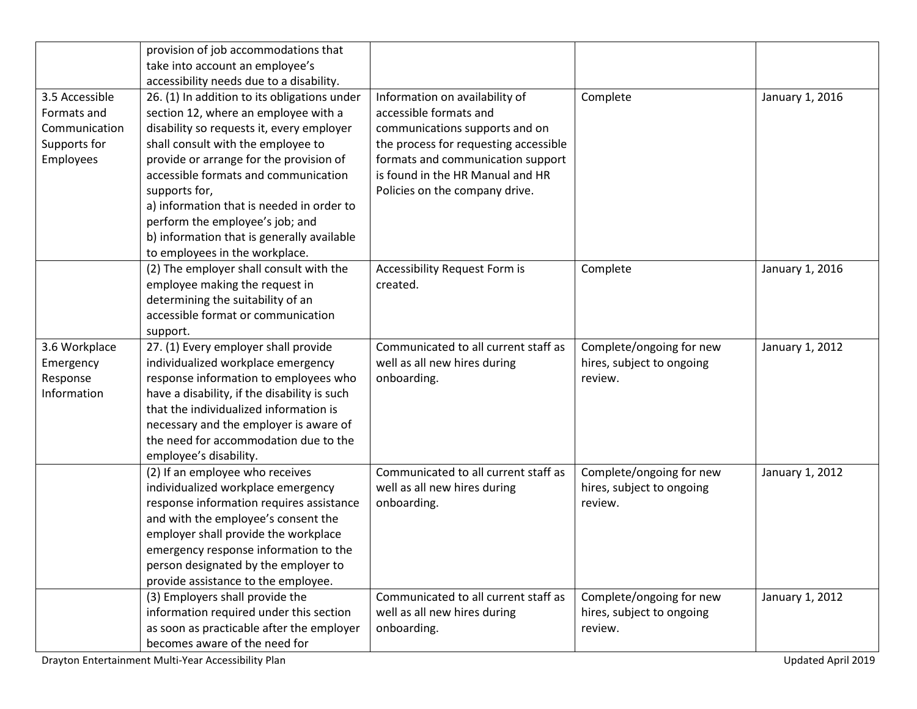|                | provision of job accommodations that         |                                       |                           |                 |
|----------------|----------------------------------------------|---------------------------------------|---------------------------|-----------------|
|                | take into account an employee's              |                                       |                           |                 |
|                | accessibility needs due to a disability.     |                                       |                           |                 |
| 3.5 Accessible | 26. (1) In addition to its obligations under | Information on availability of        | Complete                  | January 1, 2016 |
| Formats and    | section 12, where an employee with a         | accessible formats and                |                           |                 |
| Communication  | disability so requests it, every employer    | communications supports and on        |                           |                 |
| Supports for   | shall consult with the employee to           | the process for requesting accessible |                           |                 |
| Employees      | provide or arrange for the provision of      | formats and communication support     |                           |                 |
|                | accessible formats and communication         | is found in the HR Manual and HR      |                           |                 |
|                | supports for,                                | Policies on the company drive.        |                           |                 |
|                | a) information that is needed in order to    |                                       |                           |                 |
|                | perform the employee's job; and              |                                       |                           |                 |
|                | b) information that is generally available   |                                       |                           |                 |
|                | to employees in the workplace.               |                                       |                           |                 |
|                | (2) The employer shall consult with the      | Accessibility Request Form is         | Complete                  | January 1, 2016 |
|                | employee making the request in               | created.                              |                           |                 |
|                | determining the suitability of an            |                                       |                           |                 |
|                | accessible format or communication           |                                       |                           |                 |
|                | support.                                     |                                       |                           |                 |
| 3.6 Workplace  | 27. (1) Every employer shall provide         | Communicated to all current staff as  | Complete/ongoing for new  | January 1, 2012 |
| Emergency      | individualized workplace emergency           | well as all new hires during          | hires, subject to ongoing |                 |
| Response       | response information to employees who        | onboarding.                           | review.                   |                 |
| Information    | have a disability, if the disability is such |                                       |                           |                 |
|                | that the individualized information is       |                                       |                           |                 |
|                | necessary and the employer is aware of       |                                       |                           |                 |
|                | the need for accommodation due to the        |                                       |                           |                 |
|                | employee's disability.                       |                                       |                           |                 |
|                | (2) If an employee who receives              | Communicated to all current staff as  | Complete/ongoing for new  | January 1, 2012 |
|                | individualized workplace emergency           | well as all new hires during          | hires, subject to ongoing |                 |
|                | response information requires assistance     | onboarding.                           | review.                   |                 |
|                | and with the employee's consent the          |                                       |                           |                 |
|                | employer shall provide the workplace         |                                       |                           |                 |
|                | emergency response information to the        |                                       |                           |                 |
|                | person designated by the employer to         |                                       |                           |                 |
|                | provide assistance to the employee.          |                                       |                           |                 |
|                | (3) Employers shall provide the              | Communicated to all current staff as  | Complete/ongoing for new  | January 1, 2012 |
|                | information required under this section      | well as all new hires during          | hires, subject to ongoing |                 |
|                | as soon as practicable after the employer    | onboarding.                           | review.                   |                 |
|                | becomes aware of the need for                |                                       |                           |                 |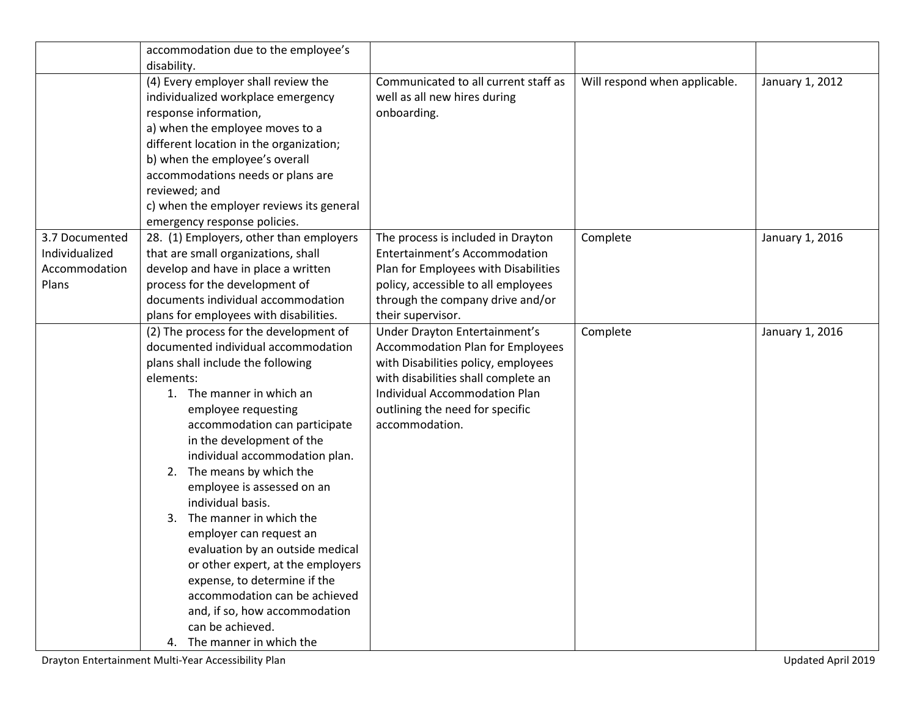|                | accommodation due to the employee's      |                                         |                               |                 |
|----------------|------------------------------------------|-----------------------------------------|-------------------------------|-----------------|
|                | disability.                              |                                         |                               |                 |
|                | (4) Every employer shall review the      | Communicated to all current staff as    | Will respond when applicable. | January 1, 2012 |
|                | individualized workplace emergency       | well as all new hires during            |                               |                 |
|                | response information,                    | onboarding.                             |                               |                 |
|                | a) when the employee moves to a          |                                         |                               |                 |
|                | different location in the organization;  |                                         |                               |                 |
|                | b) when the employee's overall           |                                         |                               |                 |
|                | accommodations needs or plans are        |                                         |                               |                 |
|                | reviewed; and                            |                                         |                               |                 |
|                | c) when the employer reviews its general |                                         |                               |                 |
|                | emergency response policies.             |                                         |                               |                 |
| 3.7 Documented | 28. (1) Employers, other than employers  | The process is included in Drayton      | Complete                      | January 1, 2016 |
| Individualized | that are small organizations, shall      | Entertainment's Accommodation           |                               |                 |
| Accommodation  | develop and have in place a written      | Plan for Employees with Disabilities    |                               |                 |
| Plans          | process for the development of           | policy, accessible to all employees     |                               |                 |
|                | documents individual accommodation       | through the company drive and/or        |                               |                 |
|                | plans for employees with disabilities.   | their supervisor.                       |                               |                 |
|                | (2) The process for the development of   | Under Drayton Entertainment's           | Complete                      | January 1, 2016 |
|                | documented individual accommodation      | <b>Accommodation Plan for Employees</b> |                               |                 |
|                | plans shall include the following        | with Disabilities policy, employees     |                               |                 |
|                | elements:                                | with disabilities shall complete an     |                               |                 |
|                | 1. The manner in which an                | <b>Individual Accommodation Plan</b>    |                               |                 |
|                | employee requesting                      | outlining the need for specific         |                               |                 |
|                | accommodation can participate            | accommodation.                          |                               |                 |
|                | in the development of the                |                                         |                               |                 |
|                | individual accommodation plan.           |                                         |                               |                 |
|                | 2. The means by which the                |                                         |                               |                 |
|                | employee is assessed on an               |                                         |                               |                 |
|                | individual basis.                        |                                         |                               |                 |
|                | The manner in which the<br>3.            |                                         |                               |                 |
|                | employer can request an                  |                                         |                               |                 |
|                | evaluation by an outside medical         |                                         |                               |                 |
|                | or other expert, at the employers        |                                         |                               |                 |
|                | expense, to determine if the             |                                         |                               |                 |
|                | accommodation can be achieved            |                                         |                               |                 |
|                | and, if so, how accommodation            |                                         |                               |                 |
|                | can be achieved.                         |                                         |                               |                 |
|                | 4. The manner in which the               |                                         |                               |                 |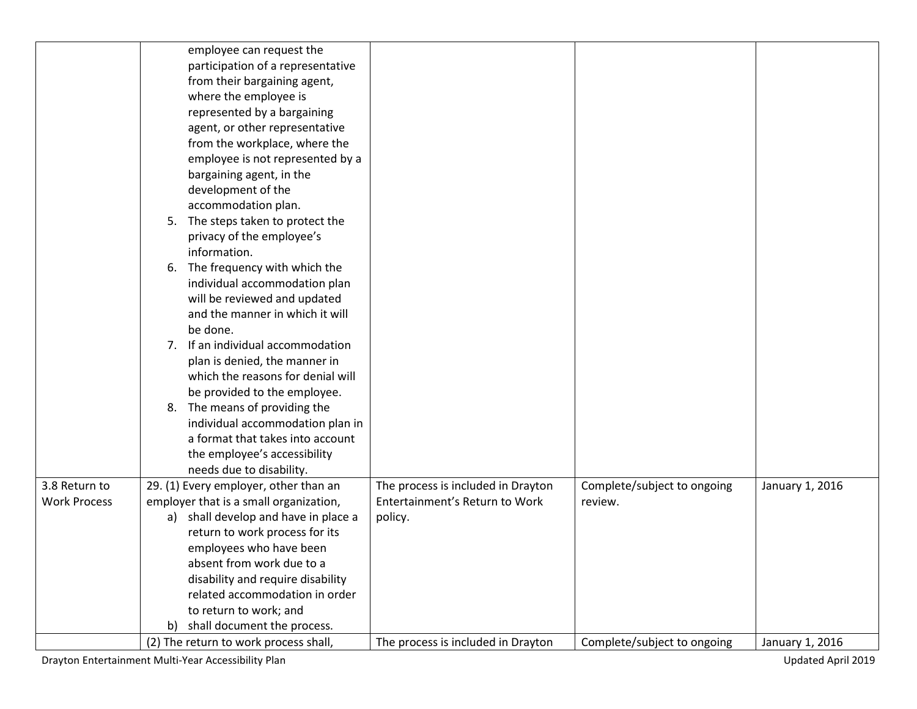|                     | employee can request the               |                                    |                             |                 |
|---------------------|----------------------------------------|------------------------------------|-----------------------------|-----------------|
|                     | participation of a representative      |                                    |                             |                 |
|                     | from their bargaining agent,           |                                    |                             |                 |
|                     | where the employee is                  |                                    |                             |                 |
|                     | represented by a bargaining            |                                    |                             |                 |
|                     | agent, or other representative         |                                    |                             |                 |
|                     | from the workplace, where the          |                                    |                             |                 |
|                     | employee is not represented by a       |                                    |                             |                 |
|                     | bargaining agent, in the               |                                    |                             |                 |
|                     | development of the                     |                                    |                             |                 |
|                     | accommodation plan.                    |                                    |                             |                 |
|                     | The steps taken to protect the<br>5.   |                                    |                             |                 |
|                     | privacy of the employee's              |                                    |                             |                 |
|                     | information.                           |                                    |                             |                 |
|                     | The frequency with which the<br>6.     |                                    |                             |                 |
|                     | individual accommodation plan          |                                    |                             |                 |
|                     | will be reviewed and updated           |                                    |                             |                 |
|                     | and the manner in which it will        |                                    |                             |                 |
|                     | be done.                               |                                    |                             |                 |
|                     | 7. If an individual accommodation      |                                    |                             |                 |
|                     |                                        |                                    |                             |                 |
|                     | plan is denied, the manner in          |                                    |                             |                 |
|                     | which the reasons for denial will      |                                    |                             |                 |
|                     | be provided to the employee.           |                                    |                             |                 |
|                     | 8. The means of providing the          |                                    |                             |                 |
|                     | individual accommodation plan in       |                                    |                             |                 |
|                     | a format that takes into account       |                                    |                             |                 |
|                     | the employee's accessibility           |                                    |                             |                 |
|                     | needs due to disability.               |                                    |                             |                 |
| 3.8 Return to       | 29. (1) Every employer, other than an  | The process is included in Drayton | Complete/subject to ongoing | January 1, 2016 |
| <b>Work Process</b> | employer that is a small organization, | Entertainment's Return to Work     | review.                     |                 |
|                     | a) shall develop and have in place a   | policy.                            |                             |                 |
|                     | return to work process for its         |                                    |                             |                 |
|                     | employees who have been                |                                    |                             |                 |
|                     | absent from work due to a              |                                    |                             |                 |
|                     | disability and require disability      |                                    |                             |                 |
|                     | related accommodation in order         |                                    |                             |                 |
|                     | to return to work; and                 |                                    |                             |                 |
|                     | shall document the process.<br>b)      |                                    |                             |                 |
|                     | (2) The return to work process shall,  | The process is included in Drayton | Complete/subject to ongoing | January 1, 2016 |

Drayton Entertainment Multi-Year Accessibility Plan and Multi-Year Accessibility Plan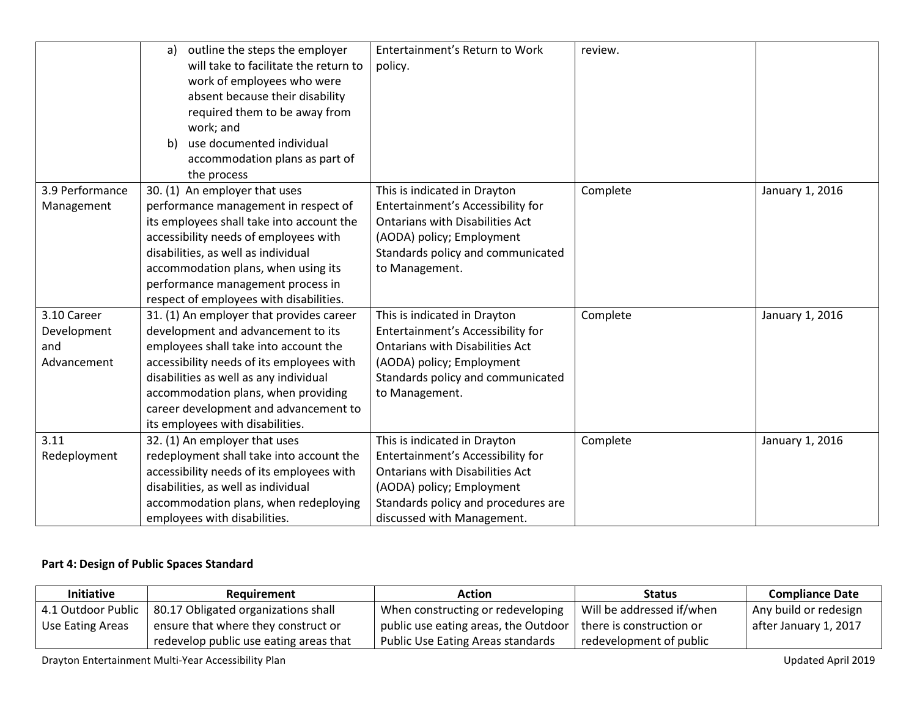|                                                  | outline the steps the employer<br>a)<br>will take to facilitate the return to<br>work of employees who were<br>absent because their disability<br>required them to be away from<br>work; and<br>use documented individual<br>b)<br>accommodation plans as part of                                                                        | Entertainment's Return to Work<br>policy.                                                                                                                                                                     | review.  |                 |
|--------------------------------------------------|------------------------------------------------------------------------------------------------------------------------------------------------------------------------------------------------------------------------------------------------------------------------------------------------------------------------------------------|---------------------------------------------------------------------------------------------------------------------------------------------------------------------------------------------------------------|----------|-----------------|
| 3.9 Performance<br>Management                    | the process<br>30. (1) An employer that uses<br>performance management in respect of<br>its employees shall take into account the<br>accessibility needs of employees with<br>disabilities, as well as individual<br>accommodation plans, when using its<br>performance management process in<br>respect of employees with disabilities. | This is indicated in Drayton<br>Entertainment's Accessibility for<br><b>Ontarians with Disabilities Act</b><br>(AODA) policy; Employment<br>Standards policy and communicated<br>to Management.               | Complete | January 1, 2016 |
| 3.10 Career<br>Development<br>and<br>Advancement | 31. (1) An employer that provides career<br>development and advancement to its<br>employees shall take into account the<br>accessibility needs of its employees with<br>disabilities as well as any individual<br>accommodation plans, when providing<br>career development and advancement to<br>its employees with disabilities.       | This is indicated in Drayton<br>Entertainment's Accessibility for<br><b>Ontarians with Disabilities Act</b><br>(AODA) policy; Employment<br>Standards policy and communicated<br>to Management.               | Complete | January 1, 2016 |
| 3.11<br>Redeployment                             | 32. (1) An employer that uses<br>redeployment shall take into account the<br>accessibility needs of its employees with<br>disabilities, as well as individual<br>accommodation plans, when redeploying<br>employees with disabilities.                                                                                                   | This is indicated in Drayton<br>Entertainment's Accessibility for<br><b>Ontarians with Disabilities Act</b><br>(AODA) policy; Employment<br>Standards policy and procedures are<br>discussed with Management. | Complete | January 1, 2016 |

## **Part 4: Design of Public Spaces Standard**

| <b>Initiative</b> | Reauirement                                              | Action                                                          | <b>Status</b>             | <b>Compliance Date</b> |
|-------------------|----------------------------------------------------------|-----------------------------------------------------------------|---------------------------|------------------------|
|                   | 4.1 Outdoor Public   80.17 Obligated organizations shall | When constructing or redeveloping                               | Will be addressed if/when | Any build or redesign  |
| Use Eating Areas  | ensure that where they construct or                      | public use eating areas, the Outdoor   there is construction or |                           | after January 1, 2017  |
|                   | redevelop public use eating areas that                   | Public Use Eating Areas standards                               | redevelopment of public   |                        |

Drayton Entertainment Multi-Year Accessibility Plan and Multi-Year Accessibility Plan